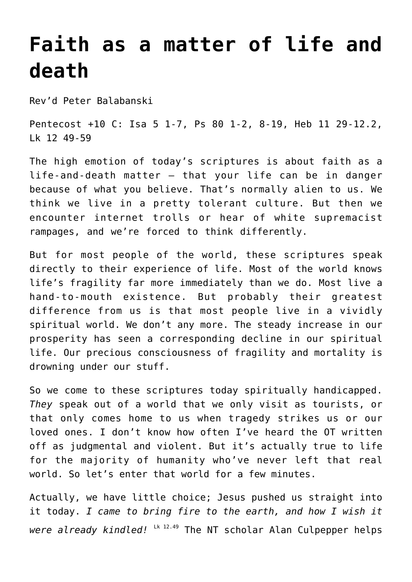## **[Faith as a matter of life and](http://stjohnsadelaide.org.au/faith-as-a-matter-of-life-and-death/) [death](http://stjohnsadelaide.org.au/faith-as-a-matter-of-life-and-death/)**

Rev'd Peter Balabanski

Pentecost +10 C: Isa 5 1-7, Ps 80 1-2, 8-19, Heb 11 29-12.2, Lk 12 49-59

The high emotion of today's scriptures is about faith as a life-and-death matter – that your life can be in danger because of what you believe. That's normally alien to us. We think we live in a pretty tolerant culture. But then we encounter internet trolls or hear of white supremacist rampages, and we're forced to think differently.

But for most people of the world, these scriptures speak directly to their experience of life. Most of the world knows life's fragility far more immediately than we do. Most live a hand-to-mouth existence. But probably their greatest difference from us is that most people live in a vividly spiritual world. We don't any more. The steady increase in our prosperity has seen a corresponding decline in our spiritual life. Our precious consciousness of fragility and mortality is drowning under our stuff.

So we come to these scriptures today spiritually handicapped. *They* speak out of a world that we only visit as tourists, or that only comes home to us when tragedy strikes us or our loved ones. I don't know how often I've heard the OT written off as judgmental and violent. But it's actually true to life for the majority of humanity who've never left that real world. So let's enter that world for a few minutes.

Actually, we have little choice; Jesus pushed us straight into it today. *I came to bring fire to the earth, and how I wish it were already kindled!* Lk 12.49 The NT scholar Alan Culpepper helps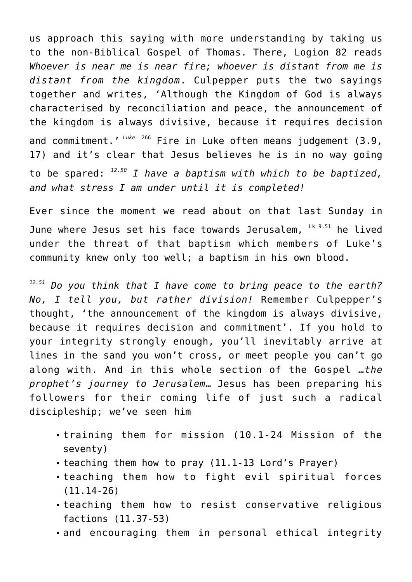us approach this saying with more understanding by taking us to the non-Biblical Gospel of Thomas. There, Logion 82 reads *Whoever is near me is near fire; whoever is distant from me is distant from the kingdom*. Culpepper puts the two sayings together and writes, 'Although the Kingdom of God is always characterised by reconciliation and peace, the announcement of the kingdom is always divisive, because it requires decision and commitment.'<sup>Luke 266</sup> Fire in Luke often means judgement (3.9, 17) and it's clear that Jesus believes he is in no way going to be spared: *12.50 I have a baptism with which to be baptized, and what stress I am under until it is completed!*

Ever since the moment we read about on that last Sunday in June where Jesus set his face towards Jerusalem, Lk 9.51 he lived under the threat of that baptism which members of Luke's community knew only too well; a baptism in his own blood.

*12.51 Do you think that I have come to bring peace to the earth? No, I tell you, but rather division!* Remember Culpepper's thought, 'the announcement of the kingdom is always divisive, because it requires decision and commitment'. If you hold to your integrity strongly enough, you'll inevitably arrive at lines in the sand you won't cross, or meet people you can't go along with. And in this whole section of the Gospel …*the prophet's journey to Jerusalem*… Jesus has been preparing his followers for their coming life of just such a radical discipleship; we've seen him

- training them for mission (10.1-24 Mission of the seventy)
- teaching them how to pray (11.1-13 Lord's Prayer)
- teaching them how to fight evil spiritual forces (11.14-26)
- teaching them how to resist conservative religious factions (11.37-53)
- and encouraging them in personal ethical integrity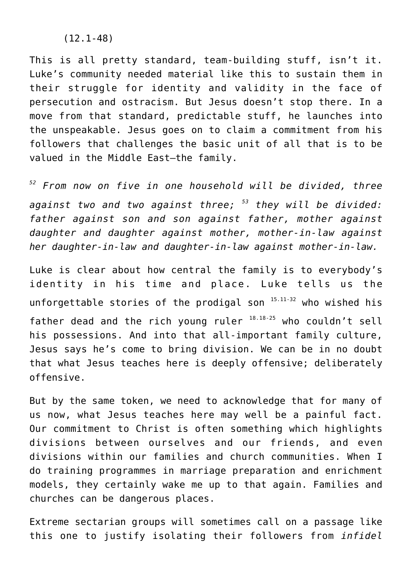(12.1-48)

This is all pretty standard, team-building stuff, isn't it. Luke's community needed material like this to sustain them in their struggle for identity and validity in the face of persecution and ostracism. But Jesus doesn't stop there. In a move from that standard, predictable stuff, he launches into the unspeakable. Jesus goes on to claim a commitment from his followers that challenges the basic unit of all that is to be valued in the Middle East—the family.

*<sup>52</sup> From now on five in one household will be divided, three against two and two against three; <sup>53</sup> they will be divided: father against son and son against father, mother against daughter and daughter against mother, mother-in-law against her daughter-in-law and daughter-in-law against mother-in-law.*

Luke is clear about how central the family is to everybody's identity in his time and place. Luke tells us the unforgettable stories of the prodigal son  $15.11-32$  who wished his father dead and the rich young ruler  $18.18-25$  who couldn't sell his possessions. And into that all-important family culture, Jesus says he's come to bring division. We can be in no doubt that what Jesus teaches here is deeply offensive; deliberately offensive.

But by the same token, we need to acknowledge that for many of us now, what Jesus teaches here may well be a painful fact. Our commitment to Christ is often something which highlights divisions between ourselves and our friends, and even divisions within our families and church communities. When I do training programmes in marriage preparation and enrichment models, they certainly wake me up to that again. Families and churches can be dangerous places.

Extreme sectarian groups will sometimes call on a passage like this one to justify isolating their followers from *infidel*